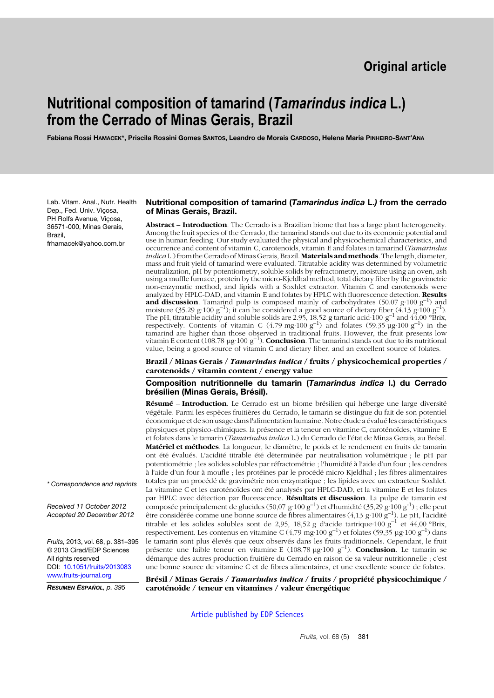# **Nutritional composition of tamarind (***Tamarindus indica* **L.) from the Cerrado of Minas Gerais, Brazil**

**Fabiana Rossi HAMACEK\*, Priscila Rossini Gomes SANTOS, Leandro de Morais CARDOSO, Helena Maria PINHEIRO-SANT'ANA**

Lab. Vitam. Anal., Nutr. Health Dep., Fed. Univ. Viçosa, PH Rolfs Avenue, Viçosa, 36571-000, Minas Gerais, Brazil, frhamacek@yahoo.com.br

#### **Nutritional composition of tamarind (***Tamarindus indica* **L.***)* **from the cerrado of Minas Gerais, Brazil.**

**Abstract** – **Introduction**. The Cerrado is a Brazilian biome that has a large plant heterogeneity. Among the fruit species of the Cerrado, the tamarind stands out due to its economic potential and use in human feeding. Our study evaluated the physical and physicochemical characteristics, and occurrence and content of vitamin C, carotenoids, vitamin E and folates in tamarind (*Tamarindus indica* L.) from the Cerrado of Minas Gerais, Brazil. **Materials andmethods**. The length, diameter, mass and fruit yield of tamarind were evaluated. Titratable acidity was determined by volumetric neutralization, pH by potentiometry, soluble solids by refractometry, moisture using an oven, ash using a muffle furnace, protein by the micro-Kjeldhal method, total dietary fiber by the gravimetric non-enzymatic method, and lipids with a Soxhlet extractor. Vitamin C and carotenoids were analyzed by HPLC-DAD, and vitamin E and folates by HPLC with fluorescence detection. **Results and discussion**. Tamarind pulp is composed mainly of carbohydrates  $(50.07 \text{ g} \cdot 100 \text{ g}^{-1})$  and moisture (35.29 g·100 g<sup>-1</sup>); it can be considered a good source of dietary fiber (4.13 g·100 g<sup>-1</sup>). The pH, titratable acidity and soluble solids are 2.95, 18.52 g tartaric acid 100  $g^{-1}$  and 44.00 °Brix, respectively. Contents of vitamin C (4.79 mg·100  $g^{-1}$ ) and folates (59.35 µg·100  $g^{-1}$ ) in the tamarind are higher than those observed in traditional fruits. However, the fruit presents low vitamin E content  $(108.78 \text{ µg} \cdot 100 \text{ g}^{-1})$ . **Conclusion**. The tamarind stands out due to its nutritional value, being a good source of vitamin C and dietary fiber, and an excellent source of folates.

**Brazil / Minas Gerais /** *Tamarindus indica* **/ fruits / physicochemical properties / carotenoids / vitamin content / energy value**

**Composition nutritionnelle du tamarin (***Tamarindus indica* **l.) du Cerrado brésilien (Minas Gerais, Brésil).**

**Résumé** – **Introduction**. Le Cerrado est un biome brésilien qui héberge une large diversité végétale. Parmi les espèces fruitières du Cerrado, le tamarin se distingue du fait de son potentiel économique et de son usage dans l'alimentation humaine. Notre étude a évalué les caractéristiques physiques et physico-chimiques, la présence et la teneur en vitamine C, caroténoïdes, vitamine E et folates dans le tamarin (*Tamarindus indica* L.) du Cerrado de l'état de Minas Gerais, au Brésil. **Matériel et méthodes**. La longueur, le diamètre, le poids et le rendement en fruits de tamarin ont été évalués. L'acidité titrable été déterminée par neutralisation volumétrique ; le pH par potentiométrie ; les solides solubles par réfractométrie ; l'humidité à l'aide d'un four ; les cendres à l'aide d'un four à moufle ; les protéines par le procédé micro-Kjeldhal ; les fibres alimentaires totales par un procédé de gravimétrie non enzymatique ; les lipides avec un extracteur Soxhlet. La vitamine C et les caroténoïdes ont été analysés par HPLC-DAD, et la vitamine E et les folates par HPLC avec détection par fluorescence. **Résultats et discussion**. La pulpe de tamarin est composée principalement de glucides (50,07 g·100 g<sup>-1</sup>) et d'humidité (35,29 g·100 g<sup>-1</sup>) ; elle peut être considérée comme une bonne source de fibres alimentaires (4,13 g·100 g–1). Le pH, l'acidité titrable et les solides solubles sont de 2,95, 18,52 g d'acide tartrique $\cdot 100 \text{ g}^{-1}$  et 44,00 °Brix, respectivement. Les contenus en vitamine C (4,79 mg·100 g–1) et folates (59,35 µg·100 g–1) dans le tamarin sont plus élevés que ceux observés dans les fruits traditionnels. Cependant, le fruit présente une faible teneur en vitamine E (108,78 µg·100 g–1). **Conclusion**. Le tamarin se démarque des autres production fruitière du Cerrado en raison de sa valeur nutritionnelle ; c'est une bonne source de vitamine C et de fibres alimentaires, et une excellente source de folates.

**Brésil / Minas Gerais /** *Tamarindus indica* **/ fruits / propriété physicochimique / caroténoïde / teneur en vitamines / valeur énergétique**

[Article published by EDP Sciences](http://publications.edpsciences.org)

*\* Correspondence and reprints*

*Received 11 October 2012 Accepted 20 December 2012*

*Fruits,* 2013, vol. 68, p. 381–395 © 2013 Cirad/EDP Sciences All rights reserved DOI: [10.1051/fruits/2013083](http://dx.doi.org/10.1051/fruits/2013083) [www.fruits-journal.org](http://dx.doi.org/10.1051/fruits/2013083)

*RESUMEN ESPAÑOL, p. 395*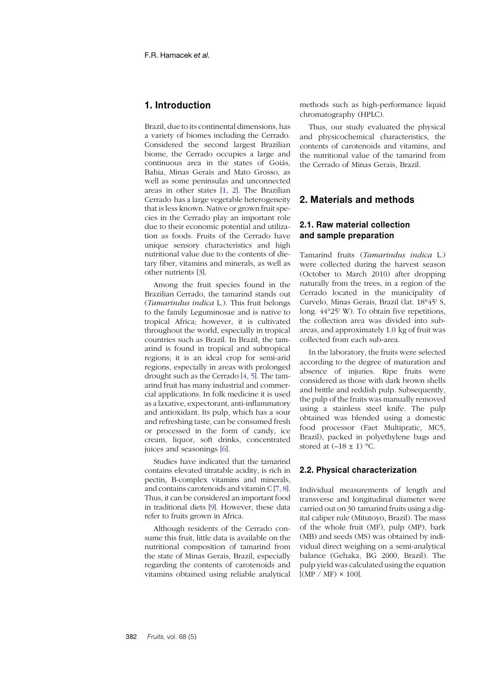# **1. Introduction**

Brazil, due to its continental dimensions, has a variety of biomes including the Cerrado. Considered the second largest Brazilian biome, the Cerrado occupies a large and continuous area in the states of Goiás, Bahia, Minas Gerais and Mato Grosso, as well as some peninsulas and unconnected areas in other states [[1](#page-11-0), [2](#page-11-1)]. The Brazilian Cerrado has a large vegetable heterogeneity that is less known. Native or grown fruit species in the Cerrado play an important role due to their economic potential and utilization as foods. Fruits of the Cerrado have unique sensory characteristics and high nutritional value due to the contents of dietary fiber, vitamins and minerals, as well as other nutrients [[3](#page-11-2)].

Among the fruit species found in the Brazilian Cerrado, the tamarind stands out (*Tamarindus indica* L.). This fruit belongs to the family Leguminosae and is native to tropical Africa; however, it is cultivated throughout the world, especially in tropical countries such as Brazil. In Brazil, the tamarind is found in tropical and subtropical regions; it is an ideal crop for semi-arid regions, especially in areas with prolonged drought such as the Cerrado [[4](#page-12-0), [5](#page-12-1)]. The tamarind fruit has many industrial and commercial applications. In folk medicine it is used as a laxative, expectorant, anti-inflammatory and antioxidant. Its pulp, which has a sour and refreshing taste, can be consumed fresh or processed in the form of candy, ice cream, liquor, soft drinks, concentrated juices and seasonings [[6](#page-12-2)].

Studies have indicated that the tamarind contains elevated titratable acidity, is rich in pectin, B-complex vitamins and minerals, and contains carotenoids and vitamin C [\[7](#page-12-3), [8](#page-12-4)]. Thus, it can be considered an important food in traditional diets [[9](#page-12-5)]. However, these data refer to fruits grown in Africa.

Although residents of the Cerrado consume this fruit, little data is available on the nutritional composition of tamarind from the state of Minas Gerais, Brazil, especially regarding the contents of carotenoids and vitamins obtained using reliable analytical

methods such as high-performance liquid chromatography (HPLC).

Thus, our study evaluated the physical and physicochemical characteristics, the contents of carotenoids and vitamins, and the nutritional value of the tamarind from the Cerrado of Minas Gerais, Brazil.

## **2. Materials and methods**

# **2.1. Raw material collection and sample preparation**

Tamarind fruits (*Tamarindus indica* L.) were collected during the harvest season (October to March 2010) after dropping naturally from the trees, in a region of the Cerrado located in the municipality of Curvelo, Minas Gerais, Brazil (lat. 18°45' S, long. 44°25' W). To obtain five repetitions, the collection area was divided into subareas, and approximately 1.0 kg of fruit was collected from each sub-area.

In the laboratory, the fruits were selected according to the degree of maturation and absence of injuries. Ripe fruits were considered as those with dark brown shells and brittle and reddish pulp. Subsequently, the pulp of the fruits was manually removed using a stainless steel knife. The pulp obtained was blended using a domestic food processor (Faet Multipratic, MC5, Brazil), packed in polyethylene bags and stored at  $(-18 \pm 1)$  °C.

## **2.2. Physical characterization**

Individual measurements of length and transverse and longitudinal diameter were carried out on 30 tamarind fruits using a digital caliper rule (Mitutoyo, Brazil). The mass of the whole fruit (MF), pulp (MP), bark (MB) and seeds (MS) was obtained by individual direct weighing on a semi-analytical balance (Gehaka, BG 2000, Brazil). The pulp yield was calculated using the equation  $[(MP / MF) \times 100]$ .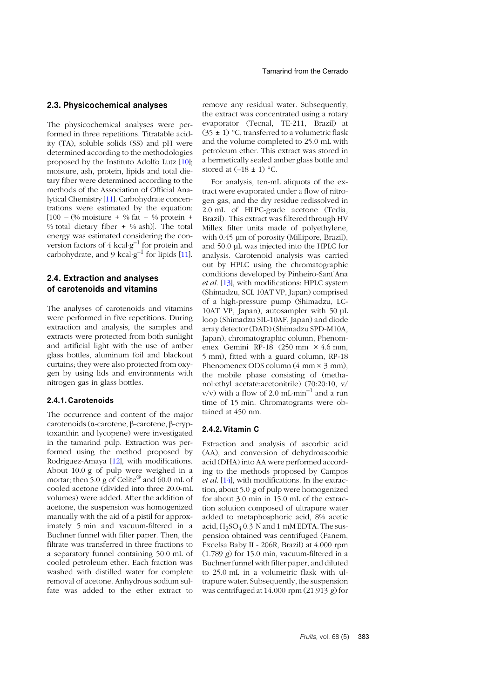#### **2.3. Physicochemical analyses**

The physicochemical analyses were performed in three repetitions. Titratable acidity (TA), soluble solids (SS) and pH were determined according to the methodologies proposed by the Instituto Adolfo Lutz [1[0](#page-12-6)]; moisture, ash, protein, lipids and total dietary fiber were determined according to the methods of the Association of Official Analytical Chemistry [1[1](#page-12-7)]. Carbohydrate concentrations were estimated by the equation:  $[100 - (\% \text{ moisture } + \% \text{ fat } + \% \text{ protein } +$ % total dietary fiber  $+$  % ash)]. The total energy was estimated considering the conversion factors of  $4 \text{ kcal·g}^{-1}$  for protein and carbohydrate, and 9 kcal· $g^{-1}$  $g^{-1}$  $g^{-1}$  for lipids [11].

## **2.4. Extraction and analyses of carotenoids and vitamins**

The analyses of carotenoids and vitamins were performed in five repetitions. During extraction and analysis, the samples and extracts were protected from both sunlight and artificial light with the use of amber glass bottles, aluminum foil and blackout curtains; they were also protected from oxygen by using lids and environments with nitrogen gas in glass bottles.

#### **2.4.1. Carotenoids**

The occurrence and content of the major carotenoids (α-carotene, β-carotene, β-cryptoxanthin and lycopene) were investigated in the tamarind pulp. Extraction was performed using the method proposed by Rodriguez-Amaya [1[2](#page-12-8)], with modifications. About 10.0 g of pulp were weighed in a mortar; then 5.0 g of Celite<sup>®</sup> and 60.0 mL of cooled acetone (divided into three 20.0-mL volumes) were added. After the addition of acetone, the suspension was homogenized manually with the aid of a pistil for approximately 5 min and vacuum-filtered in a Buchner funnel with filter paper. Then, the filtrate was transferred in three fractions to a separatory funnel containing 50.0 mL of cooled petroleum ether. Each fraction was washed with distilled water for complete removal of acetone. Anhydrous sodium sulfate was added to the ether extract to

remove any residual water. Subsequently, the extract was concentrated using a rotary evaporator (Tecnal, TE-211, Brazil) at  $(35 \pm 1)$  °C, transferred to a volumetric flask and the volume completed to 25.0 mL with petroleum ether. This extract was stored in a hermetically sealed amber glass bottle and stored at  $(-18 \pm 1)$  °C.

For analysis, ten-mL aliquots of the extract were evaporated under a flow of nitrogen gas, and the dry residue redissolved in 2.0 mL of HLPC-grade acetone (Tedia, Brazil). This extract was filtered through HV Millex filter units made of polyethylene, with 0.45 µm of porosity (Millipore, Brazil), and 50.0 µL was injected into the HPLC for analysis. Carotenoid analysis was carried out by HPLC using the chromatographic conditions developed by Pinheiro-Sant'Ana *et al.* [[13](#page-12-9)], with modifications: HPLC system (Shimadzu, SCL 10AT VP, Japan) comprised of a high-pressure pump (Shimadzu, LC-10AT VP, Japan), autosampler with 50 µL loop (Shimadzu SIL-10AF, Japan) and diode array detector (DAD) (Shimadzu SPD-M10A, Japan); chromatographic column, Phenomenex Gemini RP-18 (250 mm × 4.6 mm, 5 mm), fitted with a guard column, RP-18 Phenomenex ODS column  $(4 \text{ mm} \times 3 \text{ mm})$ , the mobile phase consisting of (methanol:ethyl acetate:acetonitrile) (70:20:10, v/  $v/v$ ) with a flow of 2.0 mL·min<sup>-1</sup> and a run time of 15 min. Chromatograms were obtained at 450 nm.

#### **2.4.2. Vitamin C**

Extraction and analysis of ascorbic acid (AA), and conversion of dehydroascorbic acid (DHA) into AA were performed according to the methods proposed by Campos *et al.* [[14](#page-12-10)], with modifications. In the extraction, about 5.0 g of pulp were homogenized for about 3.0 min in 15.0 mL of the extraction solution composed of ultrapure water added to metaphosphoric acid, 8% acetic acid,  $H_2SO_4$  0.3 N and 1 mM EDTA. The suspension obtained was centrifuged (Fanem, Excelsa Baby II - 206R, Brazil) at 4.000 rpm (1.789 *g*) for 15.0 min, vacuum-filtered in a Buchner funnel with filter paper, and diluted to 25.0 mL in a volumetric flask with ultrapure water. Subsequently, the suspension was centrifuged at 14.000 rpm (21.913 *g*) for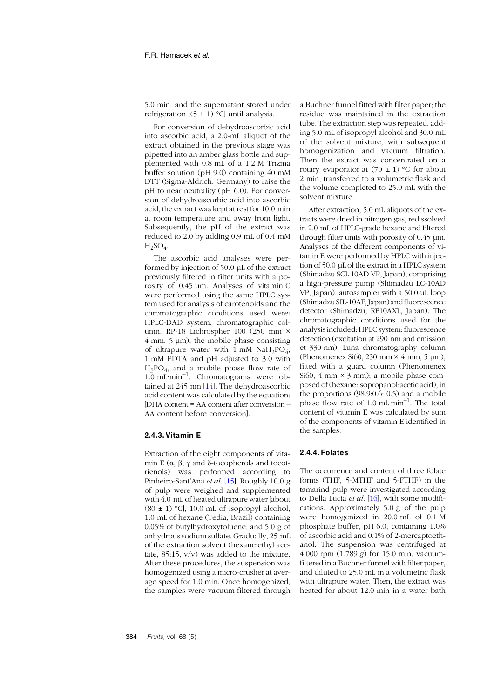5.0 min, and the supernatant stored under refrigeration  $[(5 \pm 1)$  °C] until analysis.

For conversion of dehydroascorbic acid into ascorbic acid, a 2.0-mL aliquot of the extract obtained in the previous stage was pipetted into an amber glass bottle and supplemented with 0.8 mL of a 1.2 M Trizma buffer solution (pH 9.0) containing 40 mM DTT (Sigma-Aldrich, Germany) to raise the pH to near neutrality (pH 6.0). For conversion of dehydroascorbic acid into ascorbic acid, the extract was kept at rest for 10.0 min at room temperature and away from light. Subsequently, the pH of the extract was reduced to 2.0 by adding 0.9 mL of 0.4 mM  $H_2SO_4$ .

The ascorbic acid analyses were performed by injection of 50.0 µL of the extract previously filtered in filter units with a porosity of 0.45 µm. Analyses of vitamin C were performed using the same HPLC system used for analysis of carotenoids and the chromatographic conditions used were: HPLC-DAD system, chromatographic column: RP-18 Lichrospher 100 (250 mm × 4 mm, 5 µm), the mobile phase consisting of ultrapure water with  $1 \text{ mM } \text{N} \text{aH}_2\text{PO}_4$ , 1 mM EDTA and pH adjusted to 3.0 with  $H_3PO_4$ , and a mobile phase flow rate of 1.0 mL·min–1. Chromatograms were obtained at 245 nm [[14](#page-12-10)]. The dehydroascorbic acid content was calculated by the equation: [DHA content = AA content after conversion – AA content before conversion].

#### **2.4.3. Vitamin E**

Extraction of the eight components of vitamin Ε ( $\alpha$ ,  $\beta$ ,  $\gamma$  and δ-tocopherols and tocotrienols) was performed according to Pinheiro-Sant'Ana *et al.* [1[5](#page-12-11)]. Roughly 10.0 g of pulp were weighed and supplemented with 4.0 mL of heated ultrapure water [about  $(80 \pm 1)$  °C], 10.0 mL of isopropyl alcohol, 1.0 mL of hexane (Tedia, Brazil) containing 0.05% of butylhydroxytoluene, and 5.0 g of anhydrous sodium sulfate. Gradually, 25 mL of the extraction solvent (hexane:ethyl acetate, 85:15, v/v) was added to the mixture. After these procedures, the suspension was homogenized using a micro-crusher at average speed for 1.0 min. Once homogenized, the samples were vacuum-filtered through

a Buchner funnel fitted with filter paper; the residue was maintained in the extraction tube. The extraction step was repeated, adding 5.0 mL of isopropyl alcohol and 30.0 mL of the solvent mixture, with subsequent homogenization and vacuum filtration. Then the extract was concentrated on a rotary evaporator at  $(70 \pm 1)$  °C for about 2 min, transferred to a volumetric flask and the volume completed to 25.0 mL with the solvent mixture.

After extraction, 5.0 mL aliquots of the extracts were dried in nitrogen gas, redissolved in 2.0 mL of HPLC-grade hexane and filtered through filter units with porosity of 0.45 µm. Analyses of the different components of vitamin E were performed by HPLC with injection of 50.0 µL of the extract in a HPLC system (Shimadzu SCL 10AD VP, Japan), comprising a high-pressure pump (Shimadzu LC-10AD VP, Japan), autosampler with a 50.0 µL loop (Shimadzu SIL-10AF, Japan) and fluorescence detector (Shimadzu, RF10AXL, Japan). The chromatographic conditions used for the analysis included: HPLC system; fluorescence detection (excitation at 290 nm and emission et 330 nm); Luna chromatography column (Phenomenex Si60, 250 mm  $\times$  4 mm, 5 µm), fitted with a guard column (Phenomenex Si60, 4 mm  $\times$  3 mm); a mobile phase composed of (hexane:isopropanol:acetic acid), in the proportions (98.9:0.6: 0.5) and a mobile phase flow rate of 1.0 mL·min–1. The total content of vitamin E was calculated by sum of the components of vitamin E identified in the samples.

#### **2.4.4. Folates**

The occurrence and content of three folate forms (THF, 5-MTHF and 5-FTHF) in the tamarind pulp were investigated according to Della Lucia *et al.* [[16](#page-12-12)], with some modifications. Approximately 5.0 g of the pulp were homogenized in 20.0 mL of 0.1 M phosphate buffer, pH 6.0, containing 1.0% of ascorbic acid and 0.1% of 2-mercaptoethanol. The suspension was centrifuged at 4.000 rpm (1.789 *g*) for 15.0 min, vacuumfiltered in a Buchner funnel with filter paper, and diluted to 25.0 mL in a volumetric flask with ultrapure water. Then, the extract was heated for about 12.0 min in a water bath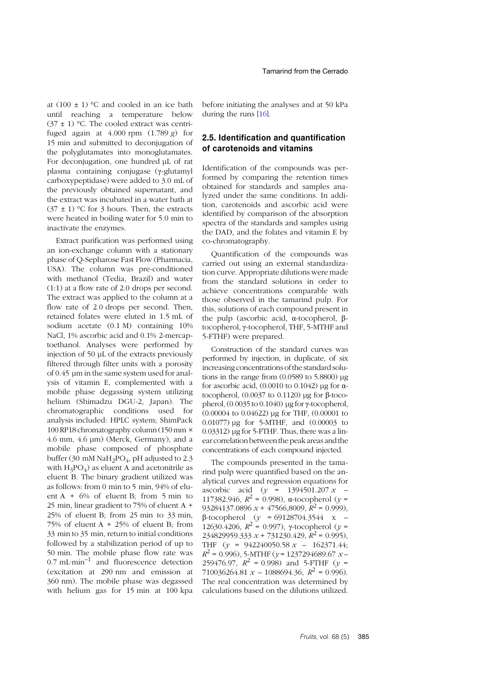at  $(100 \pm 1)$  °C and cooled in an ice bath until reaching a temperature below  $(37 \pm 1)$  °C. The cooled extract was centrifuged again at 4.000 rpm (1.789 *g*) for 15 min and submitted to deconjugation of the polyglutamates into monoglutamates. For deconjugation, one hundred µL of rat plasma containing conjugase (γ-glutamyl carboxypeptidase) were added to 3.0 mL of the previously obtained supernatant, and the extract was incubated in a water bath at  $(37 \pm 1)$  °C for 3 hours. Then, the extracts were heated in boiling water for 5.0 min to inactivate the enzymes.

Extract purification was performed using an ion-exchange column with a stationary phase of Q-Sepharose Fast Flow (Pharmacia, USA). The column was pre-conditioned with methanol (Tedia, Brazil) and water (1:1) at a flow rate of 2.0 drops per second. The extract was applied to the column at a flow rate of 2.0 drops per second. Then, retained folates were eluted in 1.5 mL of sodium acetate (0.1 M) containing 10% NaCl, 1% ascorbic acid and 0.1% 2-mercaptoethanol. Analyses were performed by injection of 50 µL of the extracts previously filtered through filter units with a porosity of 0.45 µm in the same system used for analysis of vitamin E, complemented with a mobile phase degassing system utilizing helium (Shimadzu DGU-2, Japan). The chromatographic conditions used for analysis included: HPLC system; ShimPack 100 RP18 chromatography column (150 mm × 4.6 mm, 4.6 µm) (Merck, Germany), and a mobile phase composed of phosphate buffer (30 mM NaH<sub>2</sub>PO<sub>4</sub>, pH adjusted to 2.3 with  $H_3PO_4$ ) as eluent A and acetonitrile as eluent B. The binary gradient utilized was as follows: from 0 min to 5 min, 94% of eluent A + 6% of eluent B; from 5 min to 25 min, linear gradient to 75% of eluent A + 25% of eluent B; from 25 min to 33 min, 75% of eluent  $A + 25%$  of eluent B; from 33 min to 35 min, return to initial conditions followed by a stabilization period of up to 50 min. The mobile phase flow rate was  $0.7 \text{ mL-min}^{-1}$  and fluorescence detection (excitation at 290 nm and emission at 360 nm). The mobile phase was degassed with helium gas for 15 min at 100 kpa before initiating the analyses and at 50 kPa during the runs [1[6](#page-12-12)].

## **2.5. Identification and quantification of carotenoids and vitamins**

Identification of the compounds was performed by comparing the retention times obtained for standards and samples analyzed under the same conditions. In addition, carotenoids and ascorbic acid were identified by comparison of the absorption spectra of the standards and samples using the DAD, and the folates and vitamin E by co-chromatography.

Quantification of the compounds was carried out using an external standardization curve. Appropriate dilutions were made from the standard solutions in order to achieve concentrations comparable with those observed in the tamarind pulp. For this, solutions of each compound present in the pulp (ascorbic acid, α-tocopherol, βtocopherol, γ-tocopherol, THF, 5-MTHF and 5-FTHF) were prepared.

Construction of the standard curves was performed by injection, in duplicate, of six increasing concentrations of the standard solutions in the range from  $(0.0589$  to 5.8800)  $\mu$ g for ascorbic acid,  $(0.0010 \text{ to } 0.1042)$  µg for  $\alpha$ tocopherol,  $(0.0037$  to  $0.1120)$  μg for β-tocopherol,  $(0.0035 \text{ to } 0.1040)$  µg for  $\gamma$ -tocopherol, (0.00004 to 0.04622) µg for THF, (0.00001 to 0.01077) µg for 5-MTHF, and (0.00003 to 0.03312) µg for 5-FTHF. Thus, there was a linear correlation betweenthe peak areas andthe concentrations of each compound injected.

The compounds presented in the tamarind pulp were quantified based on the analytical curves and regression equations for ascorbic acid (*y* = 1394501.207 *x* – 117382.946,  $R^2$  = 0.998), α-tocopherol (*γ* = 93284137.0896 *x* + 47566,8009, *R*<sup>2</sup> = 0.999), β-tocopherol (*y* = 69128704.3544 x – 12630.4206,  $R^2 = 0.997$ ), γ-tocopherol (*y* = 234829959.333  $x + 731230.429$ ,  $R^2 = 0.995$ ), THF (*y =* 942240050.58 *x* – 162371.44; *R*<sup>2</sup> = 0.996), 5-MTHF (*y* = 1237294689.67 *x* – 259476.97,  $R^2 = 0.998$ ) and 5-FTHF (*y* = 710036264.81  $x - 1088694.36$ ,  $R^2 = 0.996$ . The real concentration was determined by calculations based on the dilutions utilized.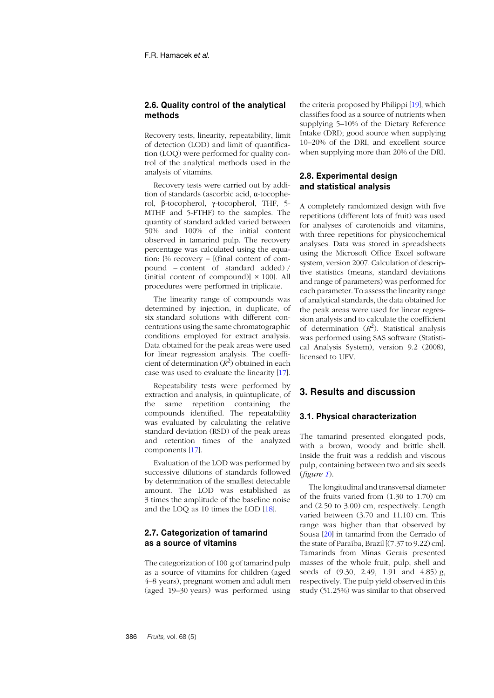## **2.6. Quality control of the analytical methods**

Recovery tests, linearity, repeatability, limit of detection (LOD) and limit of quantification (LOQ) were performed for quality control of the analytical methods used in the analysis of vitamins.

Recovery tests were carried out by addition of standards (ascorbic acid, α-tocopherol, β-tocopherol, γ-tocopherol, THF, 5- MTHF and 5-FTHF) to the samples. The quantity of standard added varied between 50% and 100% of the initial content observed in tamarind pulp. The recovery percentage was calculated using the equation:  $\%$  recovery =  $[$ (final content of compound – content of standard added) / (initial content of compound) $\vert \times 100 \vert$ . All procedures were performed in triplicate.

The linearity range of compounds was determined by injection, in duplicate, of six standard solutions with different concentrations using the same chromatographic conditions employed for extract analysis. Data obtained for the peak areas were used for linear regression analysis. The coefficient of determination  $(R^2)$  obtained in each case was used to evaluate the linearity [1[7](#page-12-13)].

Repeatability tests were performed by extraction and analysis, in quintuplicate, of the same repetition containing the compounds identified. The repeatability was evaluated by calculating the relative standard deviation (RSD) of the peak areas and retention times of the analyzed components [1[7](#page-12-13)].

Evaluation of the LOD was performed by successive dilutions of standards followed by determination of the smallest detectable amount. The LOD was established as 3 times the amplitude of the baseline noise and the LOQ as 10 times the LOD [[18](#page-12-14)].

## **2.7. Categorization of tamarind as a source of vitamins**

The categorization of 100 g of tamarind pulp as a source of vitamins for children (aged 4–8 years), pregnant women and adult men (aged 19–30 years) was performed using the criteria proposed by Philippi [1[9](#page-12-15)], which classifies food as a source of nutrients when supplying 5–10% of the Dietary Reference Intake (DRI); good source when supplying 10–20% of the DRI, and excellent source when supplying more than 20% of the DRI.

## **2.8. Experimental design and statistical analysis**

A completely randomized design with five repetitions (different lots of fruit) was used for analyses of carotenoids and vitamins, with three repetitions for physicochemical analyses. Data was stored in spreadsheets using the Microsoft Office Excel software system, version 2007. Calculation of descriptive statistics (means, standard deviations and range of parameters) was performed for each parameter. To assess the linearity range of analytical standards, the data obtained for the peak areas were used for linear regression analysis and to calculate the coefficient of determination  $(R^2)$ . Statistical analysis was performed using SAS software (Statistical Analysis System), version 9.2 (2008), licensed to UFV.

# **3. Results and discussion**

#### **3.1. Physical characterization**

The tamarind presented elongated pods, with a brown, woody and brittle shell. Inside the fruit was a reddish and viscous pulp, containing between two and six seeds (*figure [1](#page-6-0)*).

The longitudinal and transversal diameter of the fruits varied from (1.30 to 1.70) cm and (2.50 to 3.00) cm, respectively. Length varied between (3.70 and 11.10) cm. This range was higher than that observed by Sousa [[20](#page-12-16)] in tamarind from the Cerrado of the state of Paraíba, Brazil [(7.37 to 9.22) cm]. Tamarinds from Minas Gerais presented masses of the whole fruit, pulp, shell and seeds of (9.30, 2.49, 1.91 and 4.85) g, respectively. The pulp yield observed in this study (51.25%) was similar to that observed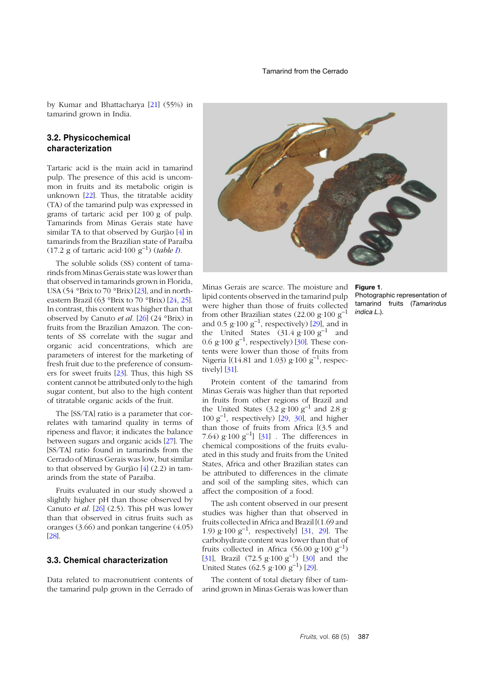by Kumar and Bhattacharya [2[1](#page-12-17)] (55%) in tamarind grown in India.

## **3.2. Physicochemical characterization**

Tartaric acid is the main acid in tamarind pulp. The presence of this acid is uncommon in fruits and its metabolic origin is unknown [[22](#page-12-18)]. Thus, the titratable acidity (TA) of the tamarind pulp was expressed in grams of tartaric acid per 100 g of pulp. Tamarinds from Minas Gerais state have similar TA to that observed by Gurjão [[4](#page-12-0)] in tamarinds from the Brazilian state of Paraíba (17.2 g of tartaric acid·100 g–1) (*table [I](#page-7-0)*).

The soluble solids (SS) content of tamarinds from Minas Gerais state was lower than that observed in tamarinds grown in Florida, USA (54 °Brix to 70 °Brix) [[23](#page-12-19)], and in northeastern Brazil (63 °Brix to 70 °Brix) [2[4](#page-12-20), 2[5](#page-12-21)]. In contrast, this content was higher than that observed by Canuto *et al.* [2[6](#page-12-22)] (24 °Brix) in fruits from the Brazilian Amazon. The contents of SS correlate with the sugar and organic acid concentrations, which are parameters of interest for the marketing of fresh fruit due to the preference of consumers for sweet fruits [2[3](#page-12-19)]. Thus, this high SS content cannot be attributed only to the high sugar content, but also to the high content of titratable organic acids of the fruit.

The [SS/TA] ratio is a parameter that correlates with tamarind quality in terms of ripeness and flavor; it indicates the balance between sugars and organic acids [2[7](#page-12-23)]. The [SS/TA] ratio found in tamarinds from the Cerrado of Minas Gerais was low, but similar to that observed by Gurjão [[4](#page-12-0)] (2.2) in tamarinds from the state of Paraíba.

Fruits evaluated in our study showed a slightly higher pH than those observed by Canuto *et al*. [[26](#page-12-22)] (2.5). This pH was lower than that observed in citrus fruits such as oranges (3.66) and ponkan tangerine (4.05) [2[8](#page-13-0)].

## **3.3. Chemical characterization**

Data related to macronutrient contents of the tamarind pulp grown in the Cerrado of



Minas Gerais are scarce. The moisture and **Figure 1**. lipid contents observed in the tamarind pulp were higher than those of fruits collected from other Brazilian states (22.00 g·100 g<sup>-1</sup> and 0.5 g·100  $g^{-1}$ , respectively) [[29](#page-13-1)], and in the United States  $(31.4 \text{ g}\cdot 100 \text{ g}^{-1})$  and [0](#page-13-2).6 g·100  $g^{-1}$ , respectively) [30]. These contents were lower than those of fruits from Nigeria  $[(14.81 \text{ and } 1.03) \text{ g} \cdot 100 \text{ g}^{-1}]$ , respectively] [3[1](#page-13-3)].

Protein content of the tamarind from Minas Gerais was higher than that reported in fruits from other regions of Brazil and the United States  $(3.2 \text{ g}\cdot 100 \text{ g}^{-1}$  and 2.8 g·  $100 \text{ g}^{-1}$  $100 \text{ g}^{-1}$  $100 \text{ g}^{-1}$ , respectively)  $\overline{[29, 30]}$  $\overline{[29, 30]}$  $\overline{[29, 30]}$ , and higher than those of fruits from Africa [(3.5 and 7.64)  $g \cdot 100 \, g^{-1}$  [[31](#page-13-3)]. The differences in chemical compositions of the fruits evaluated in this study and fruits from the United States, Africa and other Brazilian states can be attributed to differences in the climate and soil of the sampling sites, which can affect the composition of a food.

The ash content observed in our present studies was higher than that observed in fruits collected in Africa and Brazil [(1.69 and [1](#page-13-3).[9](#page-13-1))  $g \cdot 100 \, g^{-1}$ , respectively] [31, 29]. The carbohydrate content was lower than that of fruits collected in Africa  $(56.00 \text{ g} \cdot 100 \text{ g}^{-1})$ [3[1](#page-13-3)], Brazil  $(72.5 \text{ g} \cdot 100 \text{ g}^{-1})$  [[30](#page-13-2)] and the United States (62.5 g·100  $g^{-1}$ ) [2[9](#page-13-1)].

The content of total dietary fiber of tamarind grown in Minas Gerais was lower than

<span id="page-6-0"></span>Photographic representation of tamarind fruits (*Tamarindus indica L*.).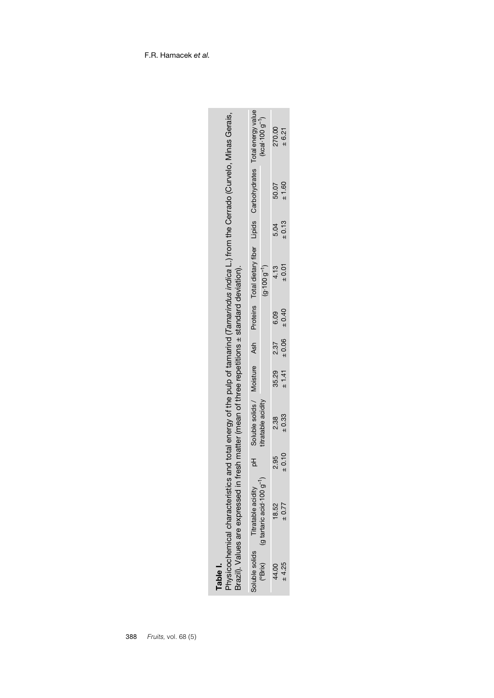|                                                                                                                                                                                      |                                                                                                       | $(kcal 100 g^{-1})$    | 270.00 | ± 6.21                           |
|--------------------------------------------------------------------------------------------------------------------------------------------------------------------------------------|-------------------------------------------------------------------------------------------------------|------------------------|--------|----------------------------------|
|                                                                                                                                                                                      |                                                                                                       |                        | 50.07  | ± 1.60                           |
|                                                                                                                                                                                      |                                                                                                       |                        | 5.04   | ± 0.13                           |
|                                                                                                                                                                                      | pH Soluble solids / Moisture Ash Proteins Total dietary fiber Lipids Carbohydrates Total energy value | $(g \cdot 100 g^{-1})$ | 4.13   | ±0.01                            |
|                                                                                                                                                                                      |                                                                                                       |                        | 6.09   |                                  |
|                                                                                                                                                                                      |                                                                                                       |                        | 2.37   |                                  |
|                                                                                                                                                                                      |                                                                                                       |                        | 35.29  | $\pm 1.41$ $\pm 0.06$ $\pm 0.40$ |
| fresh matter (mean of three repetitions ± standard deviation).                                                                                                                       |                                                                                                       | titratable acidity     | 2.38   | ± 0.33                           |
|                                                                                                                                                                                      |                                                                                                       |                        | 2.95   | $_{\pm}$ 0.10                    |
| Physicochemical characteristics and total energy of the pulp of tamarind ( <i>Tamarindus indica</i> L.) from the Cerrado (Curvelo, Minas Gerais,<br>Brazil). Values are expressed in | Titratable acidity                                                                                    | (g tartaric acid 100 g | 18.52  | $\pm 0.77$                       |
|                                                                                                                                                                                      | Soluble solids                                                                                        | (°Brix)                | 44.00  | ± 4.25                           |

<span id="page-7-0"></span>

| ω |   |
|---|---|
|   |   |
| ٥ | i |
| н |   |

F.R. Hamacek *et al.*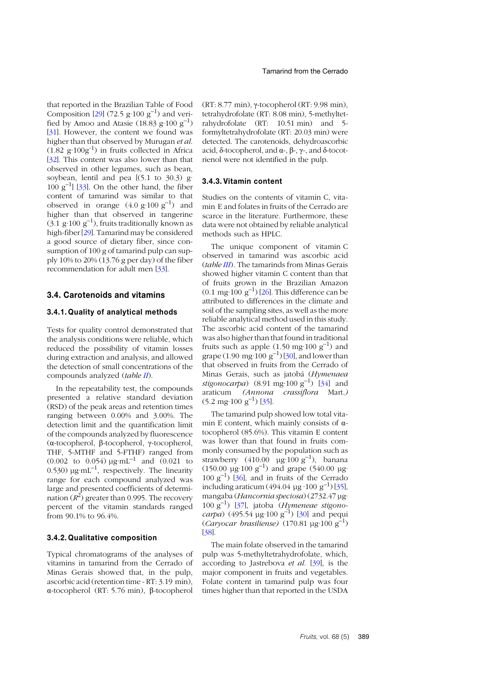that reported in the Brazilian Table of Food Composition [2[9](#page-13-1)] (72.5 g·100  $g^{-1}$ ) and verified by Amoo and Atasie (18.83 g·100 g<sup>-1</sup>) [3[1](#page-13-3)]. However, the content we found was higher than that observed by Murugan *et al*.  $(1.82 \text{ g} \cdot 100 \text{ g}^{-1})$  in fruits collected in Africa [3[2](#page-13-4)]. This content was also lower than that observed in other legumes, such as bean, soybean, lentil and pea [(5.1 to 30.3) g·  $100 \text{ g}^{-1}$ ] [[3](#page-13-5)3]. On the other hand, the fiber content of tamarind was similar to that observed in orange  $(4.0 \text{ g} \cdot 100 \text{ g}^{-1})$  and higher than that observed in tangerine  $(3.1 \text{ g} \cdot 100 \text{ g}^{-1})$ , fruits traditionally known as high-fiber [[29](#page-13-1)]. Tamarind may be considered a good source of dietary fiber, since consumption of 100 g of tamarind pulp can supply 10% to 20% (13.76 g per day) of the fiber recommendation for adult men [[33](#page-13-5)].

#### **3.4. Carotenoids and vitamins**

#### **3.4.1. Quality of analytical methods**

Tests for quality control demonstrated that the analysis conditions were reliable, which reduced the possibility of vitamin losses during extraction and analysis, and allowed the detection of small concentrations of the compounds analyzed (*table I[I](#page-9-0)*).

In the repeatability test, the compounds presented a relative standard deviation (RSD) of the peak areas and retention times ranging between 0.00% and 3.00%. The detection limit and the quantification limit of the compounds analyzed by fluorescence (α-tocopherol, β-tocopherol, γ-tocopherol, THF, 5-MTHF and 5-FTHF) ranged from  $(0.002 \text{ to } 0.054) \mu \text{g} \cdot \text{mL}^{-1}$  and  $(0.021 \text{ to } 0.021)$ 0.530)  $\mu$ g·mL<sup>-1</sup>, respectively. The linearity range for each compound analyzed was large and presented coefficients of determination  $(R^2)$  greater than 0.995. The recovery percent of the vitamin standards ranged from 90.1% to 96.4%.

#### **3.4.2. Qualitative composition**

Typical chromatograms of the analyses of vitamins in tamarind from the Cerrado of Minas Gerais showed that, in the pulp, ascorbic acid (retention time - RT: 3.19 min), α-tocopherol (RT: 5.76 min), β-tocopherol (RT: 8.77 min), γ-tocopherol (RT: 9.98 min), tetrahydrofolate (RT: 8.08 min), 5-methyltetrahydrofolate (RT: 10.51 min) and 5 formyltetrahydrofolate (RT: 20.03 min) were detected. The carotenoids, dehydroascorbic acid, δ-tocopherol, and α-, β-, γ-, and δ-tocotrienol were not identified in the pulp.

#### **3.4.3. Vitamin content**

Studies on the contents of vitamin C, vitamin E and folates in fruits of the Cerrado are scarce in the literature. Furthermore, these data were not obtained by reliable analytical methods such as HPLC.

The unique component of vitamin C observed in tamarind was ascorbic acid (*table I[II](#page-11-3)*). The tamarinds from Minas Gerais showed higher vitamin C content than that of fruits grown in the Brazilian Amazon  $(0.1 \text{ mg}\cdot 100 \text{ g}^{-1})$  [2[6](#page-12-22)]. This difference can be attributed to differences in the climate and soil of the sampling sites, as well as the more reliable analytical method used in this study. The ascorbic acid content of the tamarind was also higher than that found in traditional fruits such as apple  $(1.50 \text{ mg}\cdot 100 \text{ g}^{-1})$  and grape  $(1.90 \text{ mg} \cdot 100 \text{ g}^{-1})$  $(1.90 \text{ mg} \cdot 100 \text{ g}^{-1})$  $(1.90 \text{ mg} \cdot 100 \text{ g}^{-1})$  [30], and lower than that observed in fruits from the Cerrado of Minas Gerais, such as jatobá (*Hymenaea stigonocarpa*) (8.91 mg·100 g<sup>-1</sup>) [3[4](#page-13-6)] and araticum *(Annona crassiflora* Mart.*)*  $(5.2 \text{ mg} \cdot 100 \text{ g}^{-1})$  $(5.2 \text{ mg} \cdot 100 \text{ g}^{-1})$  $(5.2 \text{ mg} \cdot 100 \text{ g}^{-1})$  [35].

The tamarind pulp showed low total vitamin E content, which mainly consists of  $\alpha$ tocopherol (85.6%). This vitamin E content was lower than that found in fruits commonly consumed by the population such as strawberry (410.00  $\mu$ g·100 g<sup>-1</sup>), banana  $(150.00 \text{ µg} \cdot 100 \text{ g}^{-1})$  and grape  $(540.00 \text{ µg} \cdot$  $100 \text{ g}^{-1}$ ) [[36](#page-13-8)], and in fruits of the Cerrado including araticum (494.04 µg · 100 g<sup>-1</sup>) [[35](#page-13-7)], mangaba (*Hancornia speciosa*) (2732.47 µg· 100 g–1) [3[7](#page-13-9)], jatoba (*Hymeneae stigonocarpa*) (495.54 µg·100 g–1) [[30](#page-13-2)] and pequi (*Caryocar brasiliense)* (170.81 µg·100 g–1) [3[8](#page-13-10)].

The main folate observed in the tamarind pulp was 5-methyltetrahydrofolate, which, according to Jastrebova *et al.* [[39](#page-13-11)], is the major component in fruits and vegetables. Folate content in tamarind pulp was four times higher than that reported in the USDA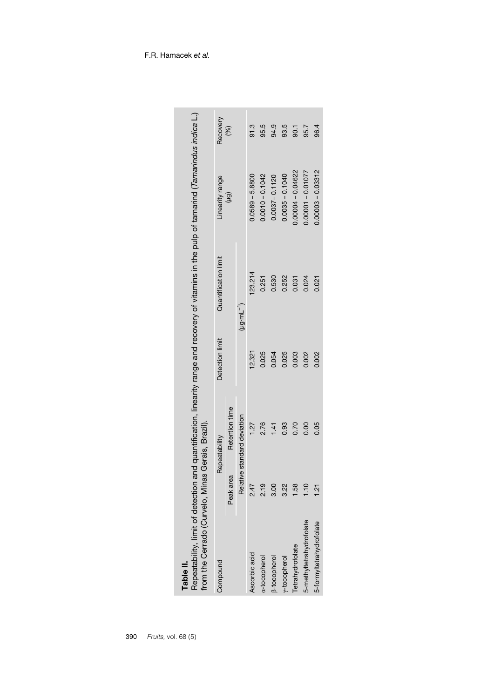<span id="page-9-0"></span>

| from the Cerrado (Curvelo, Minas Gerais, Brazil).<br>Table II. |                |                       |                 | Repeatability, limit of detection and quantification, linearity range and recovery of vitamins in the pulp of tamarind (Tamarindus indica L.) |                     |          |
|----------------------------------------------------------------|----------------|-----------------------|-----------------|-----------------------------------------------------------------------------------------------------------------------------------------------|---------------------|----------|
| Compound                                                       |                | Repeatability         | Detection limit | Quantification limit                                                                                                                          | Linearity range     | Recovery |
|                                                                | Peak area      | Retention time        |                 |                                                                                                                                               | $(\overline{b}t)$   | (%)      |
|                                                                | Relativ        | ve standard deviation |                 | $(\mu g \cdot mL^{-1})$                                                                                                                       |                     |          |
| Ascorbic acid                                                  | 2.47           | 1.27                  | 12.321          | 23.214                                                                                                                                        | $0.0589 - 5.8800$   | 91.3     |
| a-tocopherol                                                   | 2.19           | 2.76                  | 0.025           | 0.251                                                                                                                                         | $0.0010 - 0.1042$   | 95.5     |
| <b>B-tocopherol</b>                                            | 3.00           | 141                   | 0.054           | 0.530                                                                                                                                         | $0.0037 - 0.1120$   | 94.9     |
| y-tocopherol                                                   | 3.22           | 0.93                  | 0.025           | 0.252                                                                                                                                         | $0.0035 - 0.1040$   | 93.5     |
| Tetrahydrofolate                                               | 1.58           | 0.70                  | 0.003           | 0.031                                                                                                                                         | $0.00004 - 0.04622$ | 50.7     |
| 5-methyltetrahydrofolate                                       | 1.10           | 0.00                  | 0.002           | 0.024                                                                                                                                         | $0.00001 - 0.01077$ | 95.7     |
| 5-formyltetrahydrofolate                                       | $\frac{21}{2}$ | 0.05                  | 0.002           | 0.021                                                                                                                                         | $0.00003 - 0.03312$ | 96.4     |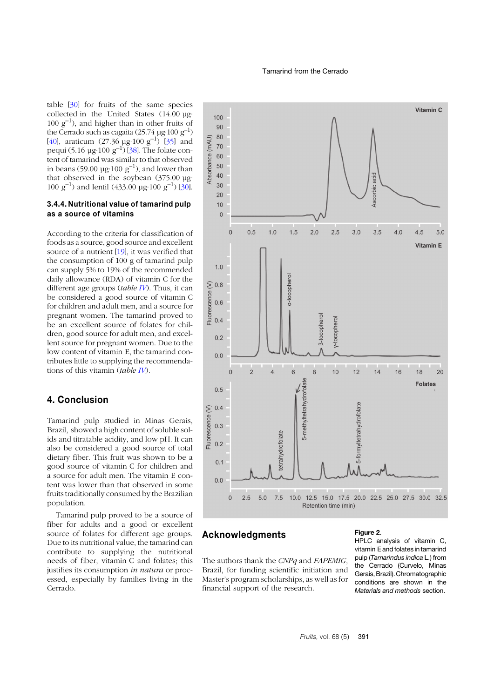table [[30](#page-13-2)] for fruits of the same species collected in the United States (14.00 µg·  $100 \text{ g}^{-1}$ ), and higher than in other fruits of the Cerrado such as cagaita (25.74  $\mu$ g·100 g<sup>-1</sup>) [4[0](#page-13-12)], araticum (27.36  $\mu$ g·100 g<sup>-1</sup>) [3[5](#page-13-7)] and pequi (5.16 µg·100  $g^{-1}$ ) [[38](#page-13-10)]. The folate content of tamarind was similar to that observed in beans (59.00  $\mu$ g·100  $g^{-1}$ ), and lower than that observed in the soybean (375.00 µg· 1[0](#page-13-2)0  $g^{-1}$ ) and lentil (433.00 µg·100  $g^{-1}$ ) [30].

#### **3.4.4. Nutritional value of tamarind pulp as a source of vitamins**

According to the criteria for classification of foods as a source, good source and excellent source of a nutrient [1[9](#page-12-15)], it was verified that the consumption of 100 g of tamarind pulp can supply 5% to 19% of the recommended daily allowance (RDA) of vitamin C for the different age groups (*table [IV](#page-11-4)*). Thus, it can be considered a good source of vitamin C for children and adult men, and a source for pregnant women. The tamarind proved to be an excellent source of folates for children, good source for adult men, and excellent source for pregnant women. Due to the low content of vitamin E, the tamarind contributes little to supplying the recommendations of this vitamin (*table I[V](#page-11-4)*).

# **4. Conclusion**

Tamarind pulp studied in Minas Gerais, Brazil, showed a high content of soluble solids and titratable acidity, and low pH. It can also be considered a good source of total dietary fiber. This fruit was shown to be a good source of vitamin C for children and a source for adult men. The vitamin E content was lower than that observed in some fruits traditionally consumed by the Brazilian population.

Tamarind pulp proved to be a source of fiber for adults and a good or excellent source of folates for different age groups. Due to its nutritional value, the tamarind can contribute to supplying the nutritional needs of fiber, vitamin C and folates; this justifies its consumption *in natura* or processed, especially by families living in the Cerrado.



## **Acknowledgments**

The authors thank the *CNPq* and *FAPEMIG*, Brazil, for funding scientific initiation and Master's program scholarships, as well as for financial support of the research.

#### **Figure 2**.

HPLC analysis of vitamin C, vitamin E and folates in tamarind pulp (*Tamarindus indica* L.) from the Cerrado (Curvelo, Minas Gerais, Brazil). Chromatographic conditions are shown in the *Materials and methods* section.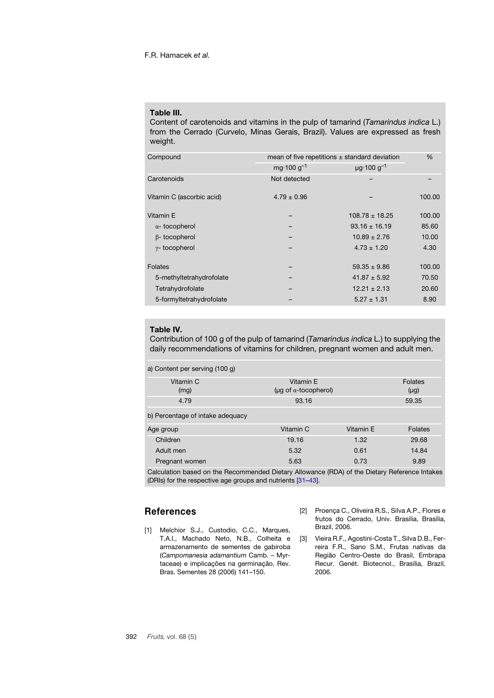#### <span id="page-11-3"></span>**Table III.**

Content of carotenoids and vitamins in the pulp of tamarind (*Tamarindus indica* L.) from the Cerrado (Curvelo, Minas Gerais, Brazil). Values are expressed as fresh weight.

| Compound                  | mean of five repetitions $\pm$ standard deviation | $\frac{0}{0}$                       |        |
|---------------------------|---------------------------------------------------|-------------------------------------|--------|
|                           | mg $\cdot$ 100 g <sup>-1</sup>                    | $\mu$ g $\cdot$ 100 g <sup>-1</sup> |        |
| Carotenoids               | Not detected                                      |                                     |        |
| Vitamin C (ascorbic acid) | $4.79 \pm 0.96$                                   |                                     | 100.00 |
| Vitamin E                 |                                                   | $108.78 \pm 18.25$                  | 100.00 |
| $\alpha$ - tocopherol     |                                                   | $93.16 \pm 16.19$                   | 85.60  |
| $\beta$ - tocopherol      |                                                   | $10.89 \pm 2.76$                    | 10.00  |
| $\gamma$ - tocopherol     |                                                   | $4.73 \pm 1.20$                     | 4.30   |
| Folates                   |                                                   | $59.35 \pm 9.86$                    | 100.00 |
| 5-methyltetrahydrofolate  |                                                   | $41.87 \pm 5.92$                    | 70.50  |
| Tetrahydrofolate          |                                                   | $12.21 \pm 2.13$                    | 20.60  |
| 5-formyltetrahydrofolate  |                                                   | $5.27 \pm 1.31$                     | 8.90   |
|                           |                                                   |                                     |        |

## <span id="page-11-4"></span>**Table IV.**

Contribution of 100 g of the pulp of tamarind (*Tamarindus indica* L.) to supplying the daily recommendations of vitamins for children, pregnant women and adult men.

| a) Content per serving (100 g)   |                                                 |           |                             |
|----------------------------------|-------------------------------------------------|-----------|-----------------------------|
| Vitamin C<br>(mg)                | Vitamin E<br>( $\mu$ g of $\alpha$ -tocopherol) |           | <b>Folates</b><br>$(\mu g)$ |
| 4.79                             | 93.16                                           |           | 59.35                       |
| b) Percentage of intake adequacy |                                                 |           |                             |
| Age group                        | Vitamin C                                       | Vitamin E | <b>Folates</b>              |
| Children                         | 19.16                                           | 1.32      | 29.68                       |
| Adult men                        | 5.32                                            | 0.61      | 14.84                       |
| Pregnant women                   | 5.63                                            | 0.73      | 9.89                        |

Calculation based on the Recommended Dietary Allowance (RDA) of the Dietary Reference Intakes (DRIs) for the respective age groups and nutrients [[31](#page-13-3)–4[3](#page-13-13)].

# **References**

- <span id="page-11-0"></span>[1] Melchior S.J., Custodio, C.C., Marques, T.A.l., Machado Neto, N.B., Colheita e armazenamento de sementes de gabiroba (*Campomanesia adamantium* Camb. – Myrtaceae) e implicações na germinação, Rev. Bras. Sementes 28 (2006) 141–150.
- <span id="page-11-1"></span>[2] Proença C., Oliveira R.S., Silva A.P., Flores e frutos do Cerrado, Univ. Brasília, Brasília, Brazil, 2006.
- <span id="page-11-2"></span>[3] Vieira R.F., Agostini-Costa T., Silva D.B., Ferreira F.R., Sano S.M., Frutas nativas da Região Centro-Oeste do Brasil, Embrapa Recur. Genét. Biotecnol., Brasília, Brazil, 2006.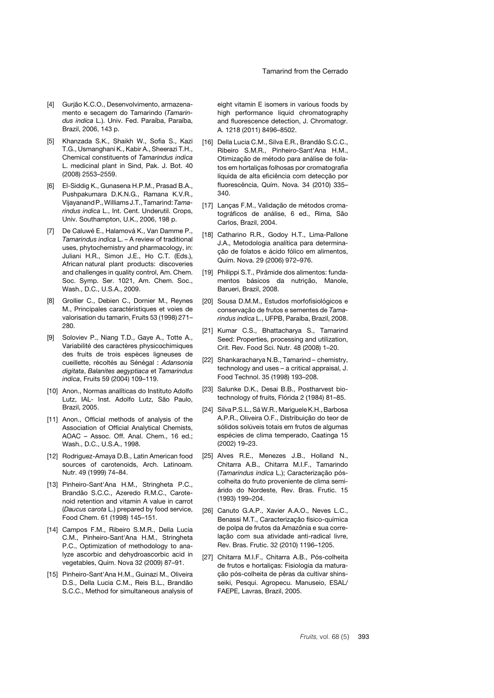- <span id="page-12-0"></span>[4] Gurjão K.C.O., Desenvolvimento, armazenamento e secagem do Tamarindo (*Tamarindus indica* L.). Univ. Fed. Paraíba, Paraíba, Brazil, 2006, 143 p.
- <span id="page-12-1"></span>[5] Khanzada S.K., Shaikh W., Sofia S., Kazi T.G., Usmanghani K., Kabir A., Sheerazi T.H., Chemical constituents of *Tamarindus indica* L. medicinal plant in Sind, Pak. J. Bot. 40 (2008) 2553–2559.
- <span id="page-12-2"></span>[6] El-Siddig K., Gunasena H.P.M., Prasad B.A., Pushpakumara D.K.N.G., Ramana K.V.R., VijayanandP.,Williams J.T., Tamarind:*Tamarindus indica* L., Int. Cent. Underutil. Crops, Univ. Southampton, U.K., 2006, 198 p.
- <span id="page-12-3"></span>[7] De Caluwé E., Halamová K., Van Damme P., *Tamarindus indica* L. – A review of traditional uses, phytochemistry and pharmacology, in: Juliani H.R., Simon J.E., Ho C.T. (Eds.), African natural plant products: discoveries and challenges in quality control, Am. Chem. Soc. Symp. Ser. 1021, Am. Chem. Soc., Wash., D.C., U.S.A., 2009.
- <span id="page-12-4"></span>[8] Grollier C., Debien C., Dornier M., Reynes M., Principales caractéristiques et voies de valorisation du tamarin, Fruits 53 (1998) 271– 280.
- <span id="page-12-5"></span>[9] Soloviev P., Niang T.D., Gaye A., Totte A., Variabilité des caractères physicochimiques des fruits de trois espèces ligneuses de cueillette, récoltés au Sénégal : *Adansonia digitata*, *Balanites aegyptiaca* et *Tamarindus indica*, Fruits 59 (2004) 109–119.
- <span id="page-12-6"></span>[10] Anon., Normas analíticas do Instituto Adolfo Lutz, IAL- Inst. Adolfo Lutz, São Paulo, Brazil, 2005.
- <span id="page-12-7"></span>[11] Anon., Official methods of analysis of the Association of Official Analytical Chemists, AOAC – Assoc. Off. Anal. Chem., 16 ed.; Wash., D.C., U.S.A., 1998.
- <span id="page-12-8"></span>[12] Rodriguez-Amaya D.B., Latin American food sources of carotenoids, Arch. Latinoam. Nutr. 49 (1999) 74–84.
- <span id="page-12-9"></span>[13] Pinheiro-Sant'Ana H.M., Stringheta P.C., Brandão S.C.C., Azeredo R.M.C., Carotenoid retention and vitamin A value in carrot (*Daucus carota* L.) prepared by food service, Food Chem. 61 (1998) 145–151.
- <span id="page-12-10"></span>[14] Campos F.M., Ribeiro S.M.R., Della Lucia C.M., Pinheiro-Sant'Ana H.M., Stringheta P.C., Optimization of methodology to analyze ascorbic and dehydroascorbic acid in vegetables, Quím. Nova 32 (2009) 87–91.
- <span id="page-12-11"></span>[15] Pinheiro-Sant'Ana H.M., Guinazi M., Oliveira D.S., Della Lucia C.M., Reis B.L., Brandão S.C.C., Method for simultaneous analysis of

eight vitamin E isomers in various foods by high performance liquid chromatography and fluorescence detection, J. Chromatogr. A. 1218 (2011) 8496–8502.

- <span id="page-12-12"></span>[16] Della Lucia C.M., Silva E.R., Brandão S.C.C., Ribeiro S.M.R., Pinheiro-Sant'Ana H.M., Otimização de método para análise de folatos em hortaliças folhosas por cromatografia líquida de alta eficiência com detecção por fluorescência, Quím. Nova. 34 (2010) 335– 340.
- <span id="page-12-13"></span>[17] Lanças F.M., Validação de métodos cromatográficos de análise, 6 ed., Rima, São Carlos, Brazil, 2004.
- <span id="page-12-14"></span>[18] Catharino R.R., Godoy H.T., Lima-Pallone J.A., Metodologia analítica para determinação de folatos e ácido fólico em alimentos, Quím. Nova. 29 (2006) 972–976.
- <span id="page-12-15"></span>[19] Philippi S.T., Pirâmide dos alimentos: fundamentos básicos da nutrição, Manole, Barueri, Brazil, 2008.
- <span id="page-12-16"></span>[20] Sousa D.M.M., Estudos morfofisiológicos e conservação de frutos e sementes de *Tamarindus indica* L., UFPB, Paraíba, Brazil, 2008.
- <span id="page-12-17"></span>[21] Kumar C.S., Bhattacharya S., Tamarind Seed: Properties, processing and utilization, Crit. Rev. Food Sci. Nutr. 48 (2008) 1–20.
- <span id="page-12-18"></span>[22] Shankaracharya N.B., Tamarind – chemistry, technology and uses – a critical appraisal, J. Food Technol. 35 (1998) 193–208.
- <span id="page-12-19"></span>[23] Salunke D.K., Desai B.B., Postharvest biotechnology of fruits, Flórida 2 (1984) 81–85.
- <span id="page-12-20"></span>[24] Silva P.S.L., SáW.R., Mariguele K.H., Barbosa A.P.R., Oliveira O.F., Distribuição do teor de sólidos solúveis totais em frutos de algumas espécies de clima temperado, Caatinga 15 (2002) 19–23.
- <span id="page-12-21"></span>[25] Alves R.E., Menezes J.B., Holland N., Chitarra A.B., Chitarra M.I.F., Tamarindo (*Tamarindus indica* L.); Caracterização póscolheita do fruto proveniente de clima semiárido do Nordeste, Rev. Bras. Frutic. 15 (1993) 199–204.
- <span id="page-12-22"></span>[26] Canuto G.A.P., Xavier A.A.O., Neves L.C., Benassi M.T., Caracterização físico-química de polpa de frutos da Amazônia e sua correlação com sua atividade anti-radical livre, Rev. Bras. Frutic. 32 (2010) 1196–1205.
- <span id="page-12-23"></span>[27] Chitarra M.I.F., Chitarra A.B., Pós-colheita de frutos e hortaliças: Fisiologia da maturação pós-colheita de pêras da cultivar shinsseiki, Pesqui. Agropecu. Manuseio, ESAL/ FAEPE, Lavras, Brazil, 2005.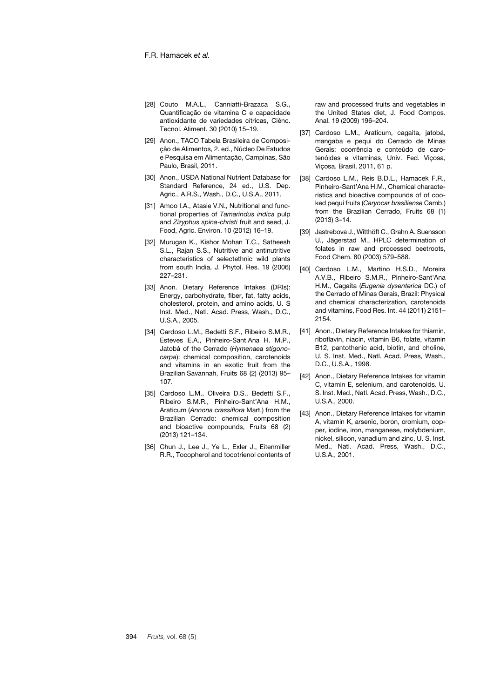- <span id="page-13-0"></span>[28] Couto M.A.L., Canniatti-Brazaca S.G., Quantificação de vitamina C e capacidade antioxidante de variedades cítricas, Ciênc. Tecnol. Aliment. 30 (2010) 15–19.
- <span id="page-13-1"></span>[29] Anon., TACO Tabela Brasileira de Composição de Alimentos, 2. ed., Núcleo De Estudos e Pesquisa em Alimentação, Campinas, São Paulo, Brasil, 2011.
- <span id="page-13-2"></span>[30] Anon., USDA National Nutrient Database for Standard Reference, 24 ed., U.S. Dep. Agric., A.R.S., Wash., D.C., U.S.A., 2011.
- <span id="page-13-3"></span>[31] Amoo I.A., Atasie V.N., Nutritional and functional properties of *Tamarindus indica* pulp and *Zizyphus spina*-*christi* fruit and seed, J. Food, Agric. Environ. 10 (2012) 16–19.
- <span id="page-13-4"></span>[32] Murugan K., Kishor Mohan T.C., Satheesh S.L., Rajan S.S., Nutritive and antinutritive characteristics of selectethnic wild plants from south India, J. Phytol. Res. 19 (2006) 227–231.
- <span id="page-13-5"></span>[33] Anon. Dietary Reference Intakes (DRIs): Energy, carbohydrate, fiber, fat, fatty acids, cholesterol, protein, and amino acids, U. S Inst. Med., Natl. Acad. Press, Wash., D.C., U.S.A., 2005.
- <span id="page-13-6"></span>[34] Cardoso L.M., Bedetti S.F., Ribeiro S.M.R., Esteves E.A., Pinheiro-Sant'Ana H. M.P., Jatobá of the Cerrado (*Hymenaea stigonocarpa*): chemical composition, carotenoids and vitamins in an exotic fruit from the Brazilian Savannah, Fruits 68 (2) (2013) 95– 107.
- <span id="page-13-7"></span>[35] Cardoso L.M., Oliveira D.S., Bedetti S.F., Ribeiro S.M.R., Pinheiro-Sant'Ana H.M., Araticum (*Annona crassiflora* Mart.) from the Brazilian Cerrado: chemical composition and bioactive compounds, Fruits 68 (2) (2013) 121–134.
- <span id="page-13-8"></span>[36] Chun J., Lee J., Ye L., Exler J., Eitenmiller R.R., Tocopherol and tocotrienol contents of

raw and processed fruits and vegetables in the United States diet, J. Food Compos. Anal. 19 (2009) 196–204.

- <span id="page-13-9"></span>[37] Cardoso L.M., Araticum, cagaita, jatobá, mangaba e pequi do Cerrado de Minas Gerais: ocorrência e conteúdo de carotenóides e vitaminas, Univ. Fed. Viçosa, Viçosa, Brasil, 2011, 61 p.
- <span id="page-13-10"></span>[38] Cardoso L.M., Reis B.D.L., Hamacek F.R., Pinheiro-Sant'Ana H.M., Chemical characteristics and bioactive compounds of of cooked pequi fruits (*Caryocar brasiliense* Camb.) from the Brazilian Cerrado, Fruits 68 (1) (2013) 3–14.
- <span id="page-13-11"></span>[39] Jastrebova J., Witthöft C., Grahn A. Suensson U., Jägerstad M., HPLC determination of folates in raw and processed beetroots, Food Chem. 80 (2003) 579–588.
- <span id="page-13-12"></span>[40] Cardoso L.M., Martino H.S.D., Moreira A.V.B., Ribeiro S.M.R., Pinheiro-Sant'Ana H.M., Cagaita (*Eugenia dysenterica* DC.) of the Cerrado of Minas Gerais, Brazil: Physical and chemical characterization, carotenoids and vitamins, Food Res. Int. 44 (2011) 2151– 2154.
- [41] Anon., Dietary Reference Intakes for thiamin, riboflavin, niacin, vitamin B6, folate, vitamin B12, pantothenic acid, biotin, and choline, U. S. Inst. Med., Natl. Acad. Press, Wash., D.C., U.S.A., 1998.
- [42] Anon., Dietary Reference Intakes for vitamin C, vitamin E, selenium, and carotenoids. U. S. Inst. Med., Natl. Acad. Press, Wash., D.C., U.S.A., 2000.
- <span id="page-13-13"></span>[43] Anon., Dietary Reference Intakes for vitamin A, vitamin K, arsenic, boron, cromium, copper, iodine, iron, manganese, molybdenium, nickel, silicon, vanadium and zinc, U. S. Inst. Med., Natl. Acad. Press, Wash., D.C., U.S.A., 2001.